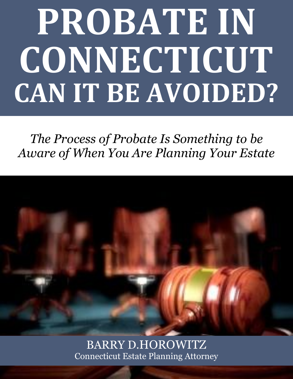# **PROBATE IN CONNECTICUT CAN IT BE AVOIDED?**

*The Process of Probate Is Something to be Aware of When You Are Planning Your Estate*



BARRY D.HOROWITZ [Connecticut Estate Planning Attorney](http://www.preserveyourestate.net/)

**1**

**Can Probate Be Avoided? We are set to be a probably and the avoided of the set of the set of the set of the set of the set of the set of the set of the set of the set of the set of the set of the set of the set of the s**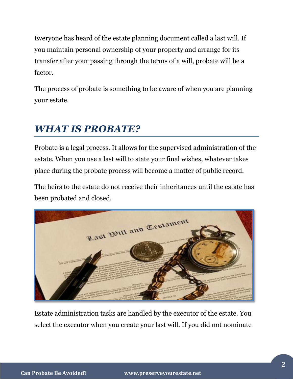Everyone has heard of the estate planning document called a last will. If you maintain personal ownership of your property and arrange for its transfer after your passing through the terms of a will, probate will be a factor.

The process of probate is something to be aware of when you are planning your estate.

# *WHAT IS PROBATE?*

Probate is a legal process. It allows for the supervised administration of the estate. When you use a last will to state your final wishes, whatever takes place during the probate process will become a matter of public record.

The heirs to the estate do not receive their inheritances until the estate has been probated and closed.



Estate administration tasks are handled by the executor of the estate. You select the executor when you create your last will. If you did not nominate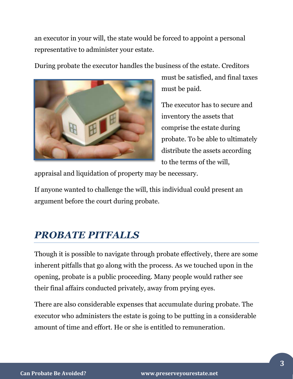an executor in your will, the state would be forced to appoint a personal representative to administer your estate.

During probate the executor handles the business of the estate. Creditors



must be satisfied, and final taxes must be paid.

The executor has to secure and inventory the assets that comprise the estate during probate. To be able to ultimately distribute the assets according to the terms of the will,

appraisal and liquidation of property may be necessary.

If anyone wanted to challenge the will, this individual could present an argument before the court during probate.

# *PROBATE PITFALLS*

Though it is possible to navigate through probate effectively, there are some inherent pitfalls that go along with the process. As we touched upon in the opening, probate is a public proceeding. Many people would rather see their final affairs conducted privately, away from prying eyes.

There are also considerable expenses that accumulate during probate. The executor who administers the estate is going to be putting in a considerable amount of time and effort. He or she is entitled to remuneration.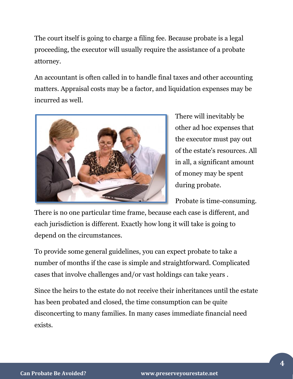The court itself is going to charge a filing fee. Because probate is a legal proceeding, the executor will usually require the assistance of a probate attorney.

An accountant is often called in to handle final taxes and other accounting matters. Appraisal costs may be a factor, and liquidation expenses may be incurred as well.



There will inevitably be other ad hoc expenses that the executor must pay out of the estate's resources. All in all, a significant amount of money may be spent during probate.

Probate is time-consuming.

There is no one particular time frame, because each case is different, and each jurisdiction is different. Exactly how long it will take is going to depend on the circumstances.

To provide some general guidelines, you can expect probate to take a number of months if the case is simple and straightforward. Complicated cases that involve challenges and/or vast holdings can take years .

Since the heirs to the estate do not receive their inheritances until the estate has been probated and closed, the time consumption can be quite disconcerting to many families. In many cases immediate financial need exists.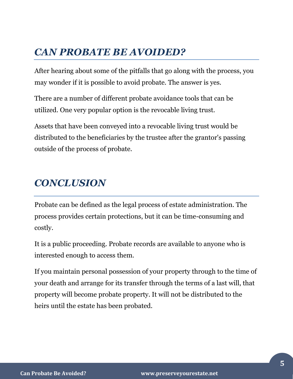## *CAN PROBATE BE AVOIDED?*

After hearing about some of the pitfalls that go along with the process, you may wonder if it is possible to avoid probate. The answer is yes.

There are a number of different probate avoidance tools that can be utilized. One very popular option is the revocable living trust.

Assets that have been conveyed into a revocable living trust would be distributed to the beneficiaries by the trustee after the grantor's passing outside of the process of probate.

### *CONCLUSION*

Probate can be defined as the legal process of estate administration. The process provides certain protections, but it can be time-consuming and costly.

It is a public proceeding. Probate records are available to anyone who is interested enough to access them.

If you maintain personal possession of your property through to the time of your death and arrange for its transfer through the terms of a last will, that property will become probate property. It will not be distributed to the heirs until the estate has been probated.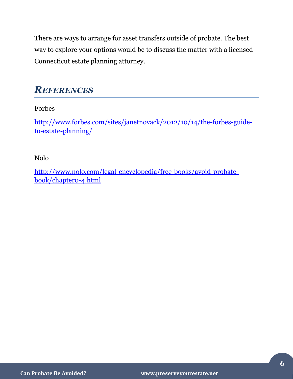There are ways to arrange for asset transfers outside of probate. The best way to explore your options would be to discuss the matter with a licensed Connecticut estate planning attorney.

#### *REFERENCES*

Forbes

[http://www.forbes.com/sites/janetnovack/2012/10/14/the-forbes-guide](http://www.forbes.com/sites/janetnovack/2012/10/14/the-forbes-guide-to-estate-planning/)[to-estate-planning/](http://www.forbes.com/sites/janetnovack/2012/10/14/the-forbes-guide-to-estate-planning/)

Nolo

[http://www.nolo.com/legal-encyclopedia/free-books/avoid-probate](http://www.nolo.com/legal-encyclopedia/free-books/avoid-probate-book/chapter0-4.html)[book/chapter0-4.html](http://www.nolo.com/legal-encyclopedia/free-books/avoid-probate-book/chapter0-4.html)